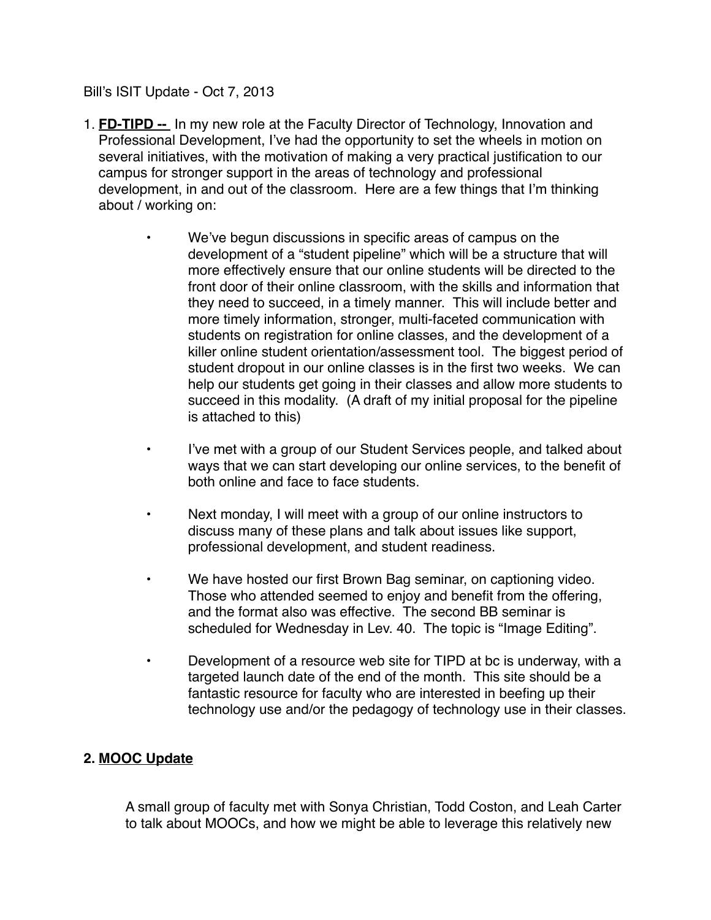Bill's ISIT Update - Oct 7, 2013

- 1. **FD-TIPD --** In my new role at the Faculty Director of Technology, Innovation and Professional Development, I've had the opportunity to set the wheels in motion on several initiatives, with the motivation of making a very practical justification to our campus for stronger support in the areas of technology and professional development, in and out of the classroom. Here are a few things that I'm thinking about / working on:
	- We've begun discussions in specific areas of campus on the development of a "student pipeline" which will be a structure that will more effectively ensure that our online students will be directed to the front door of their online classroom, with the skills and information that they need to succeed, in a timely manner. This will include better and more timely information, stronger, multi-faceted communication with students on registration for online classes, and the development of a killer online student orientation/assessment tool. The biggest period of student dropout in our online classes is in the first two weeks. We can help our students get going in their classes and allow more students to succeed in this modality. (A draft of my initial proposal for the pipeline is attached to this)
	- I've met with a group of our Student Services people, and talked about ways that we can start developing our online services, to the benefit of both online and face to face students.
	- Next monday, I will meet with a group of our online instructors to discuss many of these plans and talk about issues like support, professional development, and student readiness.
	- We have hosted our first Brown Bag seminar, on captioning video. Those who attended seemed to enjoy and benefit from the offering, and the format also was effective. The second BB seminar is scheduled for Wednesday in Lev. 40. The topic is "Image Editing".
	- Development of a resource web site for TIPD at bc is underway, with a targeted launch date of the end of the month. This site should be a fantastic resource for faculty who are interested in beefing up their technology use and/or the pedagogy of technology use in their classes.

## **2. MOOC Update**

A small group of faculty met with Sonya Christian, Todd Coston, and Leah Carter to talk about MOOCs, and how we might be able to leverage this relatively new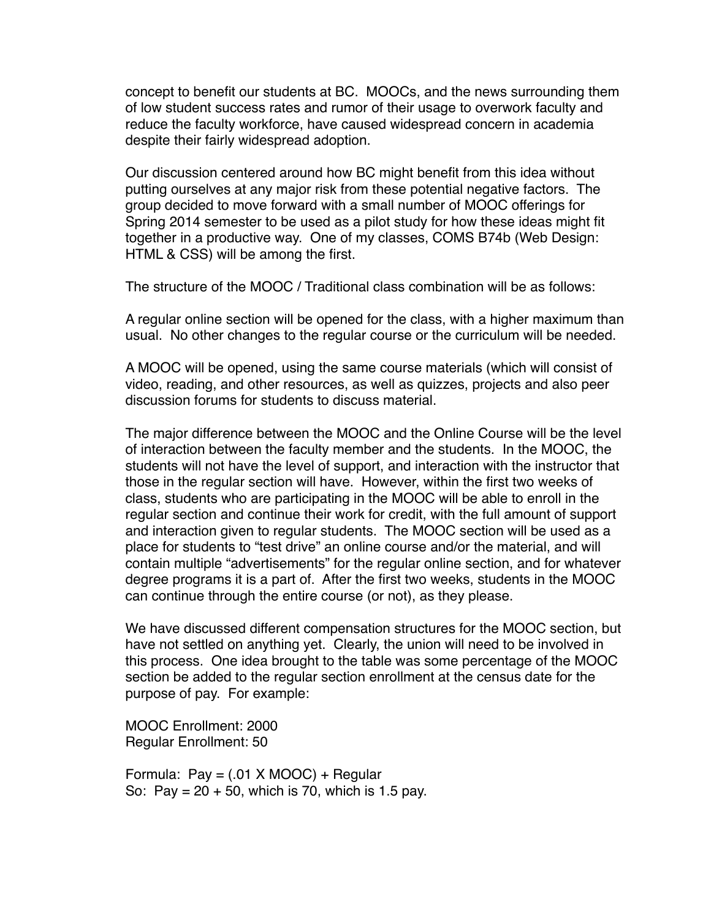concept to benefit our students at BC. MOOCs, and the news surrounding them of low student success rates and rumor of their usage to overwork faculty and reduce the faculty workforce, have caused widespread concern in academia despite their fairly widespread adoption.

Our discussion centered around how BC might benefit from this idea without putting ourselves at any major risk from these potential negative factors. The group decided to move forward with a small number of MOOC offerings for Spring 2014 semester to be used as a pilot study for how these ideas might fit together in a productive way. One of my classes, COMS B74b (Web Design: HTML & CSS) will be among the first.

The structure of the MOOC / Traditional class combination will be as follows:

A regular online section will be opened for the class, with a higher maximum than usual. No other changes to the regular course or the curriculum will be needed.

A MOOC will be opened, using the same course materials (which will consist of video, reading, and other resources, as well as quizzes, projects and also peer discussion forums for students to discuss material.

The major difference between the MOOC and the Online Course will be the level of interaction between the faculty member and the students. In the MOOC, the students will not have the level of support, and interaction with the instructor that those in the regular section will have. However, within the first two weeks of class, students who are participating in the MOOC will be able to enroll in the regular section and continue their work for credit, with the full amount of support and interaction given to regular students. The MOOC section will be used as a place for students to "test drive" an online course and/or the material, and will contain multiple "advertisements" for the regular online section, and for whatever degree programs it is a part of. After the first two weeks, students in the MOOC can continue through the entire course (or not), as they please.

We have discussed different compensation structures for the MOOC section, but have not settled on anything yet. Clearly, the union will need to be involved in this process. One idea brought to the table was some percentage of the MOOC section be added to the regular section enrollment at the census date for the purpose of pay. For example:

MOOC Enrollment: 2000 Regular Enrollment: 50

Formula:  $Pay = (.01 \times MOOC) + Regular$ So: Pay =  $20 + 50$ , which is 70, which is 1.5 pay.